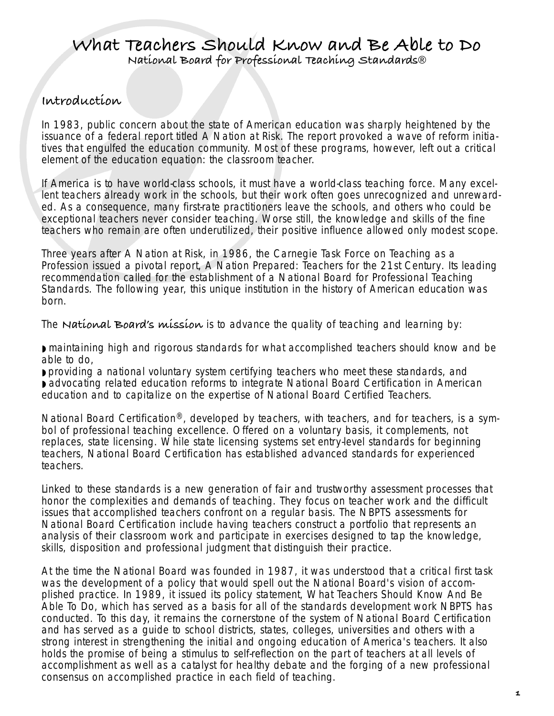**National Board for Professional Teaching Standards**®

### **Introduction**

In 1983, public concern about the state of American education was sharply heightened by the issuance of a federal report titled *A Nation at Risk*. The report provoked a wave of reform initiatives that engulfed the education community. Most of these programs, however, left out a critical element of the education equation: the classroom teacher.

If America is to have world-class schools, it must have a world-class teaching force. Many excellent teachers already work in the schools, but their work often goes unrecognized and unrewarded. As a consequence, many first-rate practitioners leave the schools, and others who could be exceptional teachers never consider teaching. Worse still, the knowledge and skills of the fine teachers who remain are often underutilized, their positive influence allowed only modest scope.

Three years after *A Nation at Risk*, in 1986, the Carnegie Task Force on Teaching as a Profession issued a pivotal report, *A Nation Prepared: Teachers for the 21st Century*. Its leading recommendation called for the establishment of a National Board for Professional Teaching Standards. The following year, this unique institution in the history of American education was born.

The **National Board's mission** is to advance the quality of teaching and learning by:

- ◗ maintaining high and rigorous standards for what accomplished teachers should know and be able to do,
- ◗ providing a national voluntary system certifying teachers who meet these standards, and

◗ advocating related education reforms to integrate National Board Certification in American education and to capitalize on the expertise of National Board Certified Teachers.

National Board Certification<sup>®</sup>, developed by teachers, with teachers, and for teachers, is a symbol of professional teaching excellence. Offered on a voluntary basis, it complements, not replaces, state licensing. While state licensing systems set entry-level standards for beginning teachers, National Board Certification has established advanced standards for experienced teachers.

Linked to these standards is a new generation of fair and trustworthy assessment processes that honor the complexities and demands of teaching. They focus on teacher work and the difficult issues that accomplished teachers confront on a regular basis. The NBPTS assessments for National Board Certification include having teachers construct a portfolio that represents an analysis of their classroom work and participate in exercises designed to tap the knowledge, skills, disposition and professional judgment that distinguish their practice.

At the time the National Board was founded in 1987, it was understood that a critical first task was the development of a policy that would spell out the National Board's vision of accomplished practice. In 1989, it issued its policy statement, *What Teachers Should Know And Be Able To Do*, which has served as a basis for all of the standards development work NBPTS has conducted. To this day, it remains the cornerstone of the system of National Board Certification and has served as a guide to school districts, states, colleges, universities and others with a strong interest in strengthening the initial and ongoing education of America's teachers. It also holds the promise of being a stimulus to self-reflection on the part of teachers at all levels of accomplishment as well as a catalyst for healthy debate and the forging of a new professional consensus on accomplished practice in each field of teaching.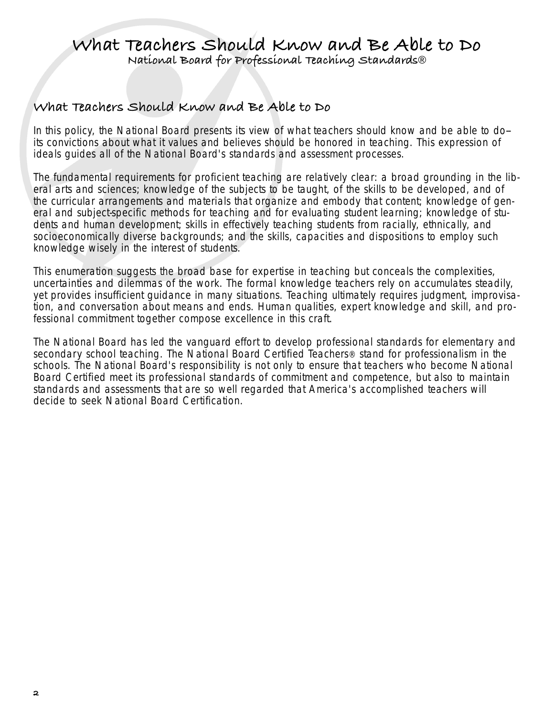**National Board for Professional Teaching Standards**®

#### **What Teachers Should Know and Be Able to Do**

In this policy, the National Board presents its view of what teachers should know and be able to do- its convictions about what it values and believes should be honored in teaching. This expression of ideals guides all of the National Board's standards and assessment processes.

The fundamental requirements for proficient teaching are relatively clear: a broad grounding in the liberal arts and sciences; knowledge of the subjects to be taught, of the skills to be developed, and of the curricular arrangements and materials that organize and embody that content; knowledge of general and subject-specific methods for teaching and for evaluating student learning; knowledge of students and human development; skills in effectively teaching students from racially, ethnically, and socioeconomically diverse backgrounds; and the skills, capacities and dispositions to employ such knowledge wisely in the interest of students.

This enumeration suggests the broad base for expertise in teaching but conceals the complexities, uncertainties and dilemmas of the work. The formal knowledge teachers rely on accumulates steadily, yet provides insufficient guidance in many situations. Teaching ultimately requires judgment, improvisation, and conversation about means and ends. Human qualities, expert knowledge and skill, and professional commitment together compose excellence in this craft.

The National Board has led the vanguard effort to develop professional standards for elementary and secondary school teaching. The National Board Certified Teachers® stand for professionalism in the schools. The National Board's responsibility is not only to ensure that teachers who become National Board Certified meet its professional standards of commitment and competence, but also to maintain standards and assessments that are so well regarded that America's accomplished teachers will decide to seek National Board Certification.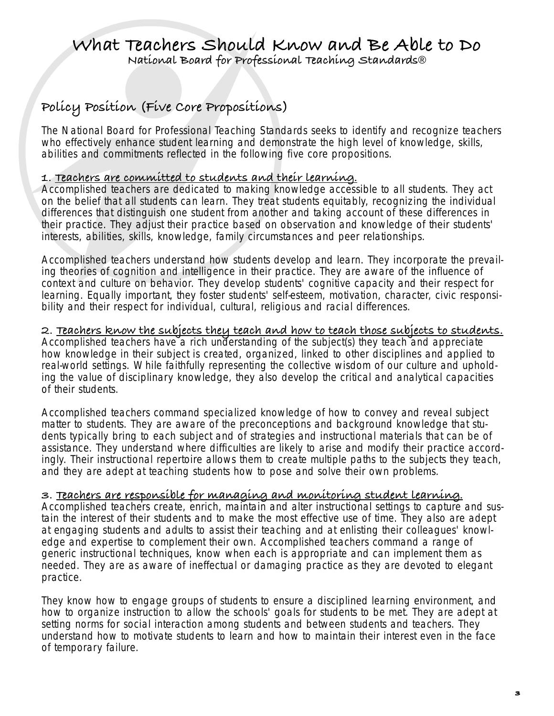**National Board for Professional Teaching Standards**®

### **Policy Position (Five Core Propositions)**

The National Board for Professional Teaching Standards seeks to identify and recognize teachers who effectively enhance student learning and demonstrate the high level of knowledge, skills, abilities and commitments reflected in the following five core propositions.

**1. Teachers are committed to students and their learning.** Accomplished teachers are dedicated to making knowledge accessible to all students. They act on the belief that all students can learn. They treat students equitably, recognizing the individual differences that distinguish one student from another and taking account of these differences in their practice. They adjust their practice based on observation and knowledge of their students' interests, abilities, skills, knowledge, family circumstances and peer relationships.

Accomplished teachers understand how students develop and learn. They incorporate the prevailing theories of cognition and intelligence in their practice. They are aware of the influence of context and culture on behavior. They develop students' cognitive capacity and their respect for learning. Equally important, they foster students' self-esteem, motivation, character, civic responsibility and their respect for individual, cultural, religious and racial differences.

#### **2. Teachers know the subjects they teach and how to teach those subjects to students.** Accomplished teachers have a rich understanding of the subject(s) they teach and appreciate how knowledge in their subject is created, organized, linked to other disciplines and applied to real-world settings. While faithfully representing the collective wisdom of our culture and upholding the value of disciplinary knowledge, they also develop the critical and analytical capacities of their students.

Accomplished teachers command specialized knowledge of how to convey and reveal subject matter to students. They are aware of the preconceptions and background knowledge that students typically bring to each subject and of strategies and instructional materials that can be of assistance. They understand where difficulties are likely to arise and modify their practice accordingly. Their instructional repertoire allows them to create multiple paths to the subjects they teach, and they are adept at teaching students how to pose and solve their own problems.

**3. Teachers are responsible for managing and monitoring student learning.** Accomplished teachers create, enrich, maintain and alter instructional settings to capture and sustain the interest of their students and to make the most effective use of time. They also are adept at engaging students and adults to assist their teaching and at enlisting their colleagues' knowledge and expertise to complement their own. Accomplished teachers command a range of generic instructional techniques, know when each is appropriate and can implement them as needed. They are as aware of ineffectual or damaging practice as they are devoted to elegant practice.

They know how to engage groups of students to ensure a disciplined learning environment, and how to organize instruction to allow the schools' goals for students to be met. They are adept at setting norms for social interaction among students and between students and teachers. They understand how to motivate students to learn and how to maintain their interest even in the face of temporary failure.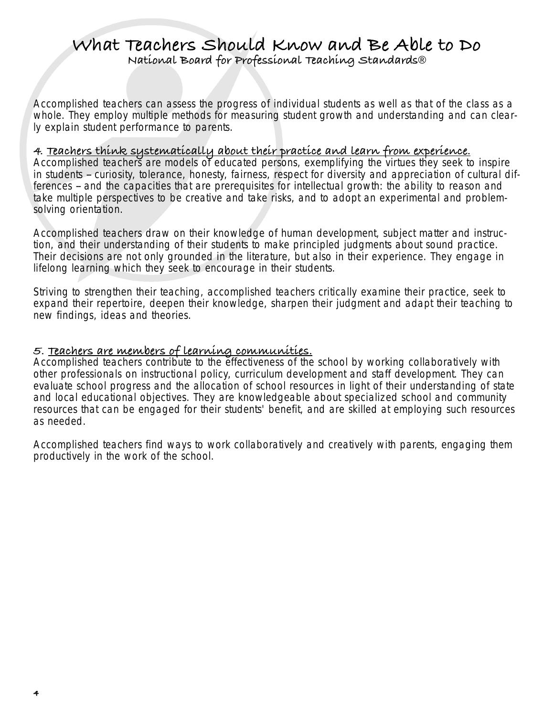**National Board for Professional Teaching Standards**®

Accomplished teachers can assess the progress of individual students as well as that of the class as a whole. They employ multiple methods for measuring student growth and understanding and can clearly explain student performance to parents.

## **4. Teachers think systematically about their practice and learn from experience.** Accomplished teachers are models of educated persons, exemplifying the virtues they seek to inspire

in students -- curiosity, tolerance, honesty, fairness, respect for diversity and appreciation of cultural differences -- and the capacities that are prerequisites for intellectual growth: the ability to reason and take multiple perspectives to be creative and take risks, and to adopt an experimental and problemsolving orientation.

Accomplished teachers draw on their knowledge of human development, subject matter and instruction, and their understanding of their students to make principled judgments about sound practice. Their decisions are not only grounded in the literature, but also in their experience. They engage in lifelong learning which they seek to encourage in their students.

Striving to strengthen their teaching, accomplished teachers critically examine their practice, seek to expand their repertoire, deepen their knowledge, sharpen their judgment and adapt their teaching to new findings, ideas and theories.

#### **5. Teachers are members of learning communities.**

Accomplished teachers contribute to the effectiveness of the school by working collaboratively with other professionals on instructional policy, curriculum development and staff development. They can evaluate school progress and the allocation of school resources in light of their understanding of state and local educational objectives. They are knowledgeable about specialized school and community resources that can be engaged for their students' benefit, and are skilled at employing such resources as needed.

Accomplished teachers find ways to work collaboratively and creatively with parents, engaging them productively in the work of the school.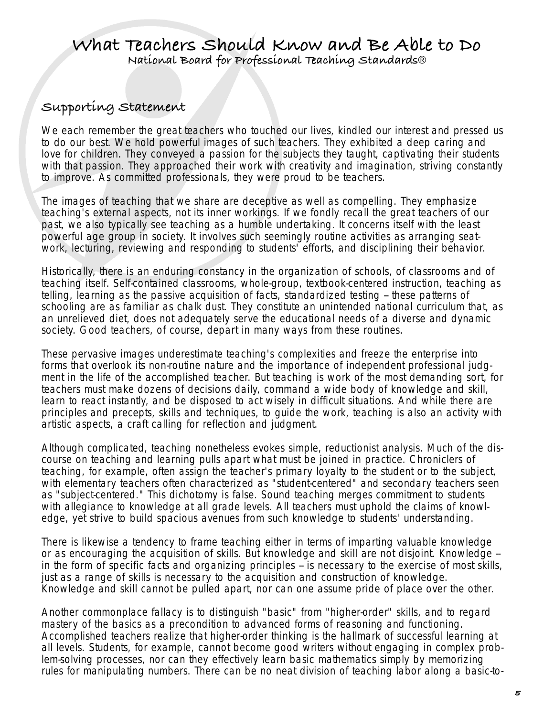**National Board for Professional Teaching Standards**®

#### **Supporting Statement**

We each remember the great teachers who touched our lives, kindled our interest and pressed us to do our best. We hold powerful images of such teachers. They exhibited a deep caring and love for children. They conveyed a passion for the subjects they taught, captivating their students with that passion. They approached their work with creativity and imagination, striving constantly to improve. As committed professionals, they were proud to be teachers.

The images of teaching that we share are deceptive as well as compelling. They emphasize teaching's external aspects, not its inner workings. If we fondly recall the great teachers of our past, we also typically see teaching as a humble undertaking. It concerns itself with the least powerful age group in society. It involves such seemingly routine activities as arranging seatwork, lecturing, reviewing and responding to students' efforts, and disciplining their behavior.

Historically, there is an enduring constancy in the organization of schools, of classrooms and of teaching itself. Self-contained classrooms, whole-group, textbook-centered instruction, teaching as telling, learning as the passive acquisition of facts, standardized testing -- these patterns of schooling are as familiar as chalk dust. They constitute an unintended national curriculum that, as an unrelieved diet, does not adequately serve the educational needs of a diverse and dynamic society. Good teachers, of course, depart in many ways from these routines.

These pervasive images underestimate teaching's complexities and freeze the enterprise into forms that overlook its non-routine nature and the importance of independent professional judgment in the life of the accomplished teacher. But teaching is work of the most demanding sort, for teachers must make dozens of decisions daily, command a wide body of knowledge and skill, learn to react instantly, and be disposed to act wisely in difficult situations. And while there are principles and precepts, skills and techniques, to guide the work, teaching is also an activity with artistic aspects, a craft calling for reflection and judgment.

Although complicated, teaching nonetheless evokes simple, reductionist analysis. Much of the discourse on teaching and learning pulls apart what must be joined in practice. Chroniclers of teaching, for example, often assign the teacher's primary loyalty to the student or to the subject, with elementary teachers often characterized as "student-centered" and secondary teachers seen as "subject-centered." This dichotomy is false. Sound teaching merges commitment to students with allegiance to knowledge at all grade levels. All teachers must uphold the claims of knowledge, yet strive to build spacious avenues from such knowledge to students' understanding.

There is likewise a tendency to frame teaching either in terms of imparting valuable knowledge or as encouraging the acquisition of skills. But knowledge and skill are not disjoint. Knowledge - in the form of specific facts and organizing principles -- is necessary to the exercise of most skills, just as a range of skills is necessary to the acquisition and construction of knowledge. Knowledge and skill cannot be pulled apart, nor can one assume pride of place over the other.

Another commonplace fallacy is to distinguish "basic" from "higher-order" skills, and to regard mastery of the basics as a precondition to advanced forms of reasoning and functioning. Accomplished teachers realize that higher-order thinking is the hallmark of successful learning at all levels. Students, for example, cannot become good writers without engaging in complex problem-solving processes, nor can they effectively learn basic mathematics simply by memorizing rules for manipulating numbers. There can be no neat division of teaching labor along a basic-to-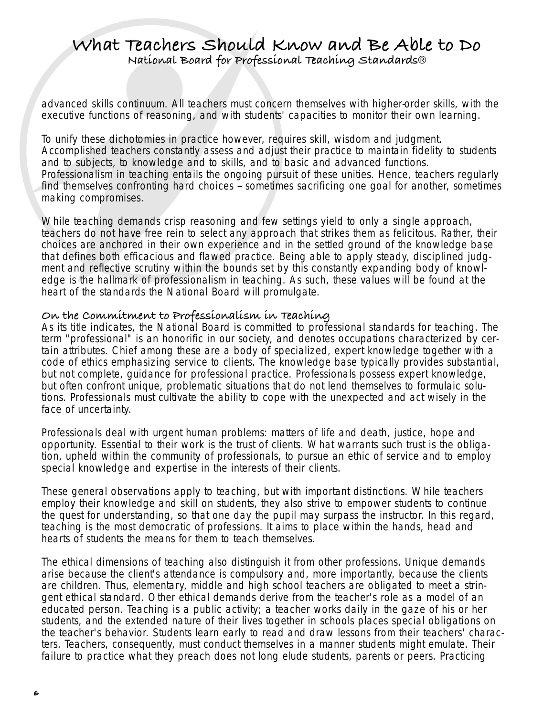**National Board for Professional Teaching Standards**®

advanced skills continuum. All teachers must concern themselves with higher-order skills, with the executive functions of reasoning, and with students' capacities to monitor their own learning.

To unify these dichotomies in practice however, requires skill, wisdom and judgment. Accomplished teachers constantly assess and adjust their practice to maintain fidelity to students and to subjects, to knowledge and to skills, and to basic and advanced functions. Professionalism in teaching entails the ongoing pursuit of these unities. Hence, teachers regularly find themselves confronting hard choices - sometimes sacrificing one goal for another, sometimes making compromises.

While teaching demands crisp reasoning and few settings yield to only a single approach, teachers do not have free rein to select any approach that strikes them as felicitous. Rather, their choices are anchored in their own experience and in the settled ground of the knowledge base that defines both efficacious and flawed practice. Being able to apply steady, disciplined judgment and reflective scrutiny within the bounds set by this constantly expanding body of knowledge is the hallmark of professionalism in teaching. As such, these values will be found at the heart of the standards the National Board will promulgate.

#### **On the Commitment to Professionalism in Teaching**

As its title indicates, the National Board is committed to professional standards for teaching. The term "professional" is an honorific in our society, and denotes occupations characterized by certain attributes. Chief among these are a body of specialized, expert knowledge together with a code of ethics emphasizing service to clients. The knowledge base typically provides substantial, but not complete, guidance for professional practice. Professionals possess expert knowledge, but often confront unique, problematic situations that do not lend themselves to formulaic solutions. Professionals must cultivate the ability to cope with the unexpected and act wisely in the face of uncertainty.

Professionals deal with urgent human problems: matters of life and death, justice, hope and opportunity. Essential to their work is the trust of clients. What warrants such trust is the obligation, upheld within the community of professionals, to pursue an ethic of service and to employ special knowledge and expertise in the interests of their clients.

These general observations apply to teaching, but with important distinctions. While teachers employ their knowledge and skill on students, they also strive to empower students to continue the quest for understanding, so that one day the pupil may surpass the instructor. In this regard, teaching is the most democratic of professions. It aims to place within the hands, head and hearts of students the means for them to teach themselves.

The ethical dimensions of teaching also distinguish it from other professions. Unique demands arise because the client's attendance is compulsory and, more importantly, because the clients are children. Thus, elementary, middle and high school teachers are obligated to meet a stringent ethical standard. Other ethical demands derive from the teacher's role as a model of an educated person. Teaching is a public activity; a teacher works daily in the gaze of his or her students, and the extended nature of their lives together in schools places special obligations on the teacher's behavior. Students learn early to read and draw lessons from their teachers' characters. Teachers, consequently, must conduct themselves in a manner students might emulate. Their failure to practice what they preach does not long elude students, parents or peers. Practicing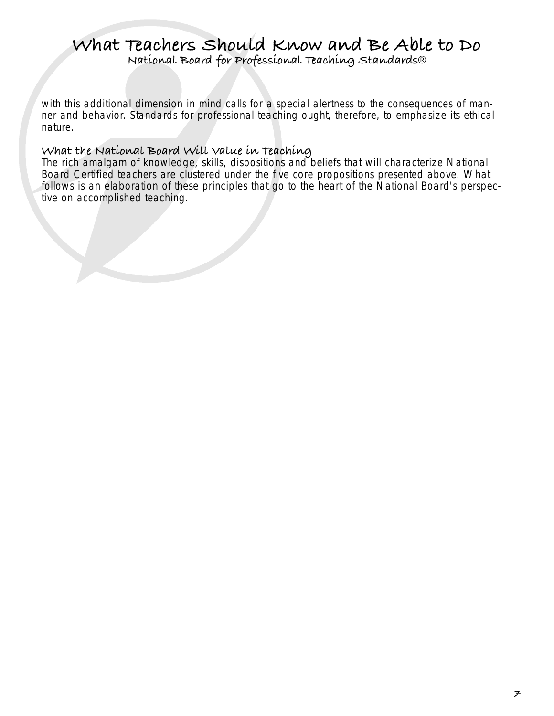**National Board for Professional Teaching Standards**®

with this additional dimension in mind calls for a special alertness to the consequences of manner and behavior. Standards for professional teaching ought, therefore, to emphasize its ethical nature.

#### **What the National Board Will Value in Teaching**

The rich amalgam of knowledge, skills, dispositions and beliefs that will characterize National Board Certified teachers are clustered under the five core propositions presented above. What follows is an elaboration of these principles that go to the heart of the National Board's perspective on accomplished teaching.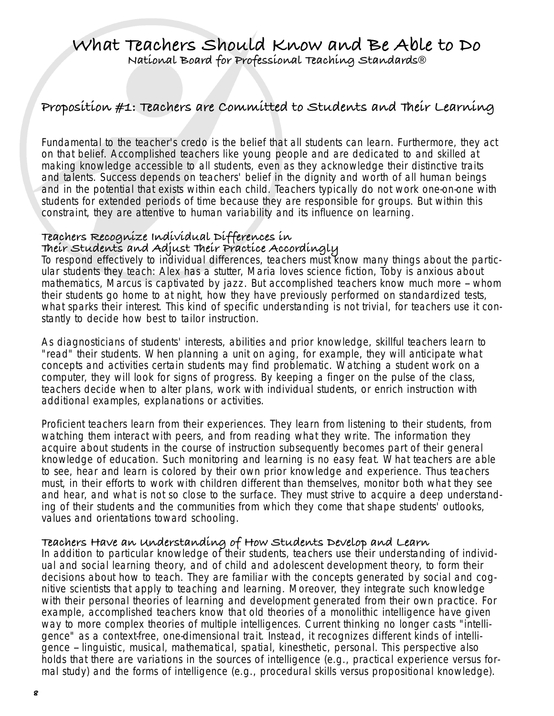**National Board for Professional Teaching Standards**®

#### **Proposition #1: Teachers are Committed to Students and Their Learning**

Fundamental to the teacher's credo is the belief that all students can learn. Furthermore, they act on that belief. Accomplished teachers like young people and are dedicated to and skilled at making knowledge accessible to all students, even as they acknowledge their distinctive traits and talents. Success depends on teachers' belief in the dignity and worth of all human beings and in the potential that exists within each child. Teachers typically do not work one-on-one with students for extended periods of time because they are responsible for groups. But within this constraint, they are attentive to human variability and its influence on learning.

#### **Teachers Recognize Individual Differences in**

#### **Their Students and Adjust Their Practice Accordingly**

To respond effectively to individual differences, teachers must know many things about the particular students they teach: Alex has a stutter, Maria loves science fiction, Toby is anxious about mathematics, Marcus is captivated by jazz. But accomplished teachers know much more -- whom their students go home to at night, how they have previously performed on standardized tests, what sparks their interest. This kind of specific understanding is not trivial, for teachers use it constantly to decide how best to tailor instruction.

As diagnosticians of students' interests, abilities and prior knowledge, skillful teachers learn to "read" their students. When planning a unit on aging, for example, they will anticipate what concepts and activities certain students may find problematic. Watching a student work on a computer, they will look for signs of progress. By keeping a finger on the pulse of the class, teachers decide when to alter plans, work with individual students, or enrich instruction with additional examples, explanations or activities.

Proficient teachers learn from their experiences. They learn from listening to their students, from watching them interact with peers, and from reading what they write. The information they acquire about students in the course of instruction subsequently becomes part of their general knowledge of education. Such monitoring and learning is no easy feat. What teachers are able to see, hear and learn is colored by their own prior knowledge and experience. Thus teachers must, in their efforts to work with children different than themselves, monitor both what they see and hear, and what is not so close to the surface. They must strive to acquire a deep understanding of their students and the communities from which they come that shape students' outlooks, values and orientations toward schooling.

#### **Teachers Have an Understanding of How Students Develop and Learn**

In addition to particular knowledge of their students, teachers use their understanding of individual and social learning theory, and of child and adolescent development theory, to form their decisions about how to teach. They are familiar with the concepts generated by social and cognitive scientists that apply to teaching and learning. Moreover, they integrate such knowledge with their personal theories of learning and development generated from their own practice. For example, accomplished teachers know that old theories of a monolithic intelligence have given way to more complex theories of multiple intelligences. Current thinking no longer casts "intelligence" as a context-free, one-dimensional trait. Instead, it recognizes different kinds of intelligence -- linguistic, musical, mathematical, spatial, kinesthetic, personal. This perspective also holds that there are variations in the sources of intelligence (e.g., practical experience versus formal study) and the forms of intelligence (e.g., procedural skills versus propositional knowledge).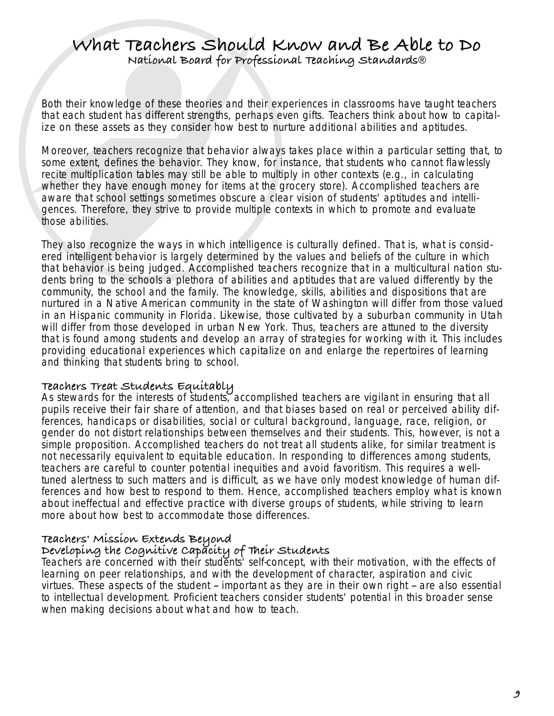**National Board for Professional Teaching Standards**®

Both their knowledge of these theories and their experiences in classrooms have taught teachers that each student has different strengths, perhaps even gifts. Teachers think about how to capitalize on these assets as they consider how best to nurture additional abilities and aptitudes.

Moreover, teachers recognize that behavior always takes place within a particular setting that, to some extent, defines the behavior. They know, for instance, that students who cannot flawlessly recite multiplication tables may still be able to multiply in other contexts (e.g., in calculating whether they have enough money for items at the grocery store). Accomplished teachers are aware that school settings sometimes obscure a clear vision of students' aptitudes and intelligences. Therefore, they strive to provide multiple contexts in which to promote and evaluate those abilities.

They also recognize the ways in which intelligence is culturally defined. That is, what is considered intelligent behavior is largely determined by the values and beliefs of the culture in which that behavior is being judged. Accomplished teachers recognize that in a multicultural nation students bring to the schools a plethora of abilities and aptitudes that are valued differently by the community, the school and the family. The knowledge, skills, abilities and dispositions that are nurtured in a Native American community in the state of Washington will differ from those valued in an Hispanic community in Florida. Likewise, those cultivated by a suburban community in Utah will differ from those developed in urban New York. Thus, teachers are attuned to the diversity that is found among students and develop an array of strategies for working with it. This includes providing educational experiences which capitalize on and enlarge the repertoires of learning and thinking that students bring to school.

#### **Teachers Treat Students Equitably**

As stewards for the interests of students, accomplished teachers are vigilant in ensuring that all pupils receive their fair share of attention, and that biases based on real or perceived ability differences, handicaps or disabilities, social or cultural background, language, race, religion, or gender do not distort relationships between themselves and their students. This, however, is not a simple proposition. Accomplished teachers do not treat all students alike, for similar treatment is not necessarily equivalent to equitable education. In responding to differences among students, teachers are careful to counter potential inequities and avoid favoritism. This requires a welltuned alertness to such matters and is difficult, as we have only modest knowledge of human differences and how best to respond to them. Hence, accomplished teachers employ what is known about ineffectual and effective practice with diverse groups of students, while striving to learn more about how best to accommodate those differences.

#### **Teachers' Mission Extends Beyond**

#### **Developing the Cognitive Capacity of Their Students**

Teacher's are concerned with their students' self-concept, with their motivation, with the effects of learning on peer relationships, and with the development of character, aspiration and civic virtues. These aspects of the student -- important as they are in their own right -- are also essential to intellectual development. Proficient teachers consider students' potential in this broader sense when making decisions about what and how to teach.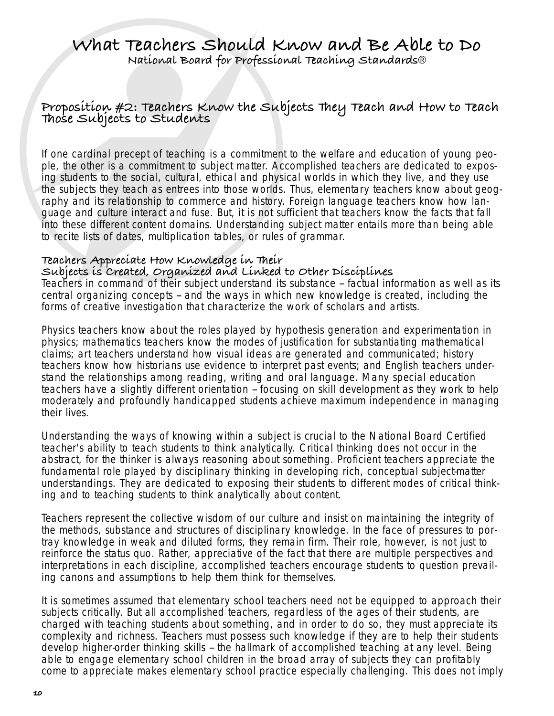**National Board for Professional Teaching Standards**®

# **Proposition #2: Teachers Know the Subjects They Teach and How to Teach Those Subjects to Students**

If one cardinal precept of teaching is a commitment to the welfare and education of young people, the other is a commitment to subject matter. Accomplished teachers are dedicated to exposing students to the social, cultural, ethical and physical worlds in which they live, and they use the subjects they teach as entrees into those worlds. Thus, elementary teachers know about geography and its relationship to commerce and history. Foreign language teachers know how language and culture interact and fuse. But, it is not sufficient that teachers know the facts that fall into these different content domains. Understanding subject matter entails more than being able to recite lists of dates, multiplication tables, or rules of grammar.

#### **Teachers Appreciate How Knowledge in Their**

**Subjects is Created, Organized and Linked to Other Disciplines**

Teachers in command of their subject understand its substance -- factual information as well as its central organizing concepts -- and the ways in which new knowledge is created, including the forms of creative investigation that characterize the work of scholars and artists.

Physics teachers know about the roles played by hypothesis generation and experimentation in physics; mathematics teachers know the modes of justification for substantiating mathematical claims; art teachers understand how visual ideas are generated and communicated; history teachers know how historians use evidence to interpret past events; and English teachers understand the relationships among reading, writing and oral language. Many special education teachers have a slightly different orientation - focusing on skill development as they work to help moderately and profoundly handicapped students achieve maximum independence in managing their lives.

Understanding the ways of knowing within a subject is crucial to the National Board Certified teacher's ability to teach students to think analytically. Critical thinking does not occur in the abstract, for the thinker is always reasoning about something. Proficient teachers appreciate the fundamental role played by disciplinary thinking in developing rich, conceptual subject-matter understandings. They are dedicated to exposing their students to different modes of critical thinking and to teaching students to think analytically about content.

Teachers represent the collective wisdom of our culture and insist on maintaining the integrity of the methods, substance and structures of disciplinary knowledge. In the face of pressures to portray knowledge in weak and diluted forms, they remain firm. Their role, however, is not just to reinforce the status quo. Rather, appreciative of the fact that there are multiple perspectives and interpretations in each discipline, accomplished teachers encourage students to question prevailing canons and assumptions to help them think for themselves.

It is sometimes assumed that elementary school teachers need not be equipped to approach their subjects critically. But all accomplished teachers, regardless of the ages of their students, are charged with teaching students about something, and in order to do so, they must appreciate its complexity and richness. Teachers must possess such knowledge if they are to help their students develop higher-order thinking skills -- the hallmark of accomplished teaching at any level. Being able to engage elementary school children in the broad array of subjects they can profitably come to appreciate makes elementary school practice especially challenging. This does not imply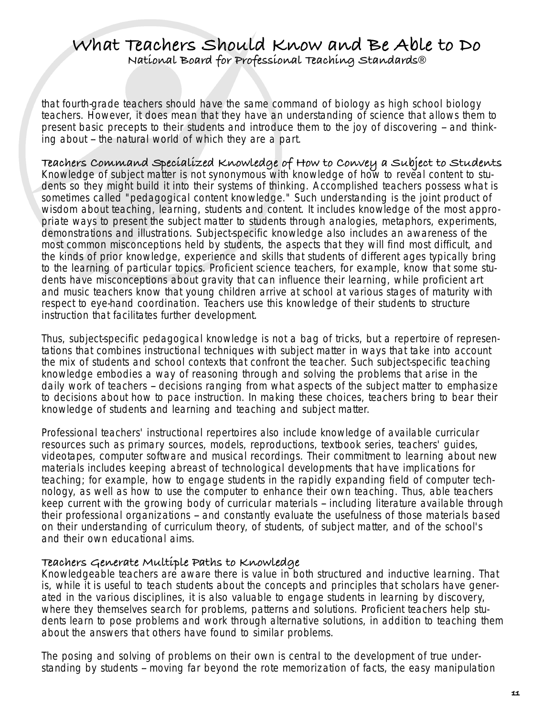**National Board for Professional Teaching Standards**®

that fourth-grade teachers should have the same command of biology as high school biology teachers. However, it does mean that they have an understanding of science that allows them to present basic precepts to their students and introduce them to the joy of discovering -- and thinking about -- the natural world of which they are a part.

**Teachers Command Specialized Knowledge of How to Convey a Subject to Students**  Knowledge of subject matter is not synonymous with knowledge of how to reveal content to students so they might build it into their systems of thinking. Accomplished teachers possess what is sometimes called "pedagogical content knowledge." Such understanding is the joint product of wisdom about teaching, learning, students and content. It includes knowledge of the most appropriate ways to present the subject matter to students through analogies, metaphors, experiments, demonstrations and illustrations. Subject-specific knowledge also includes an awareness of the most common misconceptions held by students, the aspects that they will find most difficult, and the kinds of prior knowledge, experience and skills that students of different ages typically bring to the learning of particular topics. Proficient science teachers, for example, know that some students have misconceptions about gravity that can influence their learning, while proficient art and music teachers know that young children arrive at school at various stages of maturity with respect to eye-hand coordination. Teachers use this knowledge of their students to structure instruction that facilitates further development.

Thus, subject-specific pedagogical knowledge is not a bag of tricks, but a repertoire of representations that combines instructional techniques with subject matter in ways that take into account the mix of students and school contexts that confront the teacher. Such subject-specific teaching knowledge embodies a way of reasoning through and solving the problems that arise in the daily work of teachers - decisions ranging from what aspects of the subject matter to emphasize to decisions about how to pace instruction. In making these choices, teachers bring to bear their knowledge of students and learning and teaching and subject matter.

Professional teachers' instructional repertoires also include knowledge of available curricular resources such as primary sources, models, reproductions, textbook series, teachers' guides, videotapes, computer software and musical recordings. Their commitment to learning about new materials includes keeping abreast of technological developments that have implications for teaching; for example, how to engage students in the rapidly expanding field of computer technology, as well as how to use the computer to enhance their own teaching. Thus, able teachers keep current with the growing body of curricular materials -- including literature available through their professional organizations -- and constantly evaluate the usefulness of those materials based on their understanding of curriculum theory, of students, of subject matter, and of the school's and their own educational aims.

#### **Teachers Generate Multiple Paths to Knowledge**

Knowledgeable teachers are aware there is value in both structured and inductive learning. That is, while it is useful to teach students about the concepts and principles that scholars have generated in the various disciplines, it is also valuable to engage students in learning by discovery, where they themselves search for problems, patterns and solutions. Proficient teachers help students learn to pose problems and work through alternative solutions, in addition to teaching them about the answers that others have found to similar problems.

The posing and solving of problems on their own is central to the development of true understanding by students -- moving far beyond the rote memorization of facts, the easy manipulation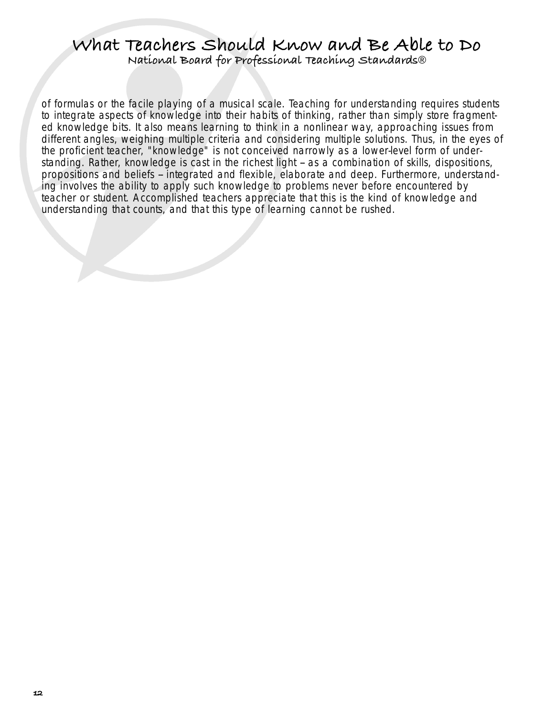**National Board for Professional Teaching Standards**®

of formulas or the facile playing of a musical scale. Teaching for understanding requires students to integrate aspects of knowledge into their habits of thinking, rather than simply store fragmented knowledge bits. It also means learning to think in a nonlinear way, approaching issues from different angles, weighing multiple criteria and considering multiple solutions. Thus, in the eyes of the proficient teacher, "knowledge" is not conceived narrowly as a lower-level form of understanding. Rather, knowledge is cast in the richest light -- as a combination of skills, dispositions, propositions and beliefs -- integrated and flexible, elaborate and deep. Furthermore, understanding involves the ability to apply such knowledge to problems never before encountered by teacher or student. Accomplished teachers appreciate that this is the kind of knowledge and understanding that counts, and that this type of learning cannot be rushed.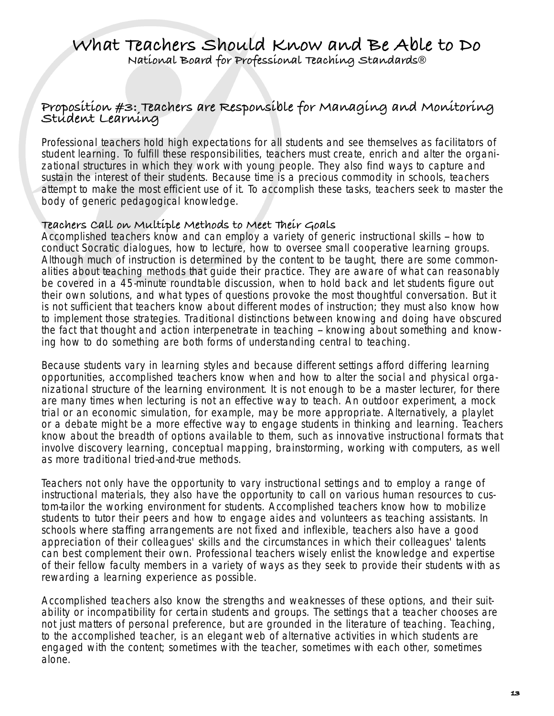**National Board for Professional Teaching Standards**®

# **Proposition #3: Teachers are Responsible for Managing and Monitoring Student Learning**

Professional teachers hold high expectations for all students and see themselves as facilitators of student learning. To fulfill these responsibilities, teachers must create, enrich and alter the organizational structures in which they work with young people. They also find ways to capture and sustain the interest of their students. Because time is a precious commodity in schools, teachers attempt to make the most efficient use of it. To accomplish these tasks, teachers seek to master the body of generic pedagogical knowledge.

#### **Teachers Call on Multiple Methods to Meet Their Goals**

Accomplished teachers know and can employ a variety of generic instructional skills -- how to conduct Socratic dialogues, how to lecture, how to oversee small cooperative learning groups. Although much of instruction is determined by the content to be taught, there are some commonalities about teaching methods that guide their practice. They are aware of what can reasonably be covered in a 45-minute roundtable discussion, when to hold back and let students figure out their own solutions, and what types of questions provoke the most thoughtful conversation. But it is not sufficient that teachers know about different modes of instruction; they must also know how to implement those strategies. Traditional distinctions between knowing and doing have obscured the fact that thought and action interpenetrate in teaching -- knowing about something and knowing how to do something are both forms of understanding central to teaching.

Because students vary in learning styles and because different settings afford differing learning opportunities, accomplished teachers know when and how to alter the social and physical organizational structure of the learning environment. It is not enough to be a master lecturer, for there are many times when lecturing is not an effective way to teach. An outdoor experiment, a mock trial or an economic simulation, for example, may be more appropriate. Alternatively, a playlet or a debate might be a more effective way to engage students in thinking and learning. Teachers know about the breadth of options available to them, such as innovative instructional formats that involve discovery learning, conceptual mapping, brainstorming, working with computers, as well as more traditional tried-and-true methods.

Teachers not only have the opportunity to vary instructional settings and to employ a range of instructional materials, they also have the opportunity to call on various human resources to custom-tailor the working environment for students. Accomplished teachers know how to mobilize students to tutor their peers and how to engage aides and volunteers as teaching assistants. In schools where staffing arrangements are not fixed and inflexible, teachers also have a good appreciation of their colleagues' skills and the circumstances in which their colleagues' talents can best complement their own. Professional teachers wisely enlist the knowledge and expertise of their fellow faculty members in a variety of ways as they seek to provide their students with as rewarding a learning experience as possible.

Accomplished teachers also know the strengths and weaknesses of these options, and their suitability or incompatibility for certain students and groups. The settings that a teacher chooses are not just matters of personal preference, but are grounded in the literature of teaching. Teaching, to the accomplished teacher, is an elegant web of alternative activities in which students are engaged with the content; sometimes with the teacher, sometimes with each other, sometimes alone.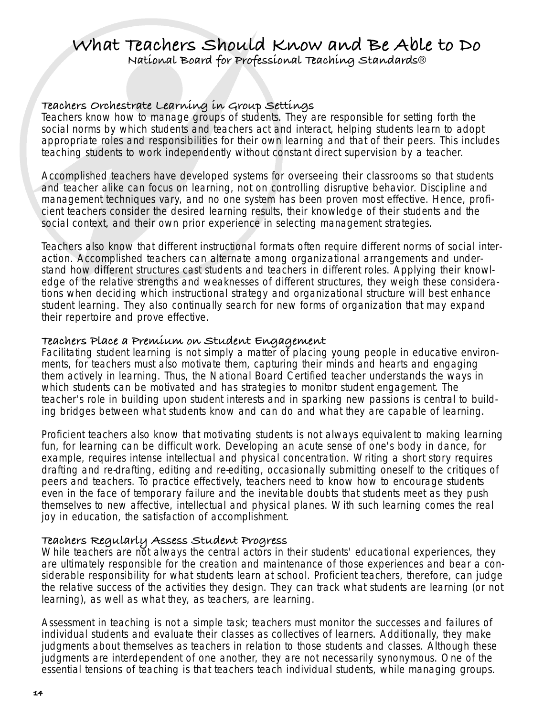**National Board for Professional Teaching Standards**®

#### **Teachers Orchestrate Learning in Group Settings**

Teachers know how to manage groups of students. They are responsible for setting forth the social norms by which students and teachers act and interact, helping students learn to adopt appropriate roles and responsibilities for their own learning and that of their peers. This includes teaching students to work independently without constant direct supervision by a teacher.

Accomplished teachers have developed systems for overseeing their classrooms so that students and teacher alike can focus on learning, not on controlling disruptive behavior. Discipline and management techniques vary, and no one system has been proven most effective. Hence, proficient teachers consider the desired learning results, their knowledge of their students and the social context, and their own prior experience in selecting management strategies.

Teachers also know that different instructional formats often require different norms of social interaction. Accomplished teachers can alternate among organizational arrangements and understand how different structures cast students and teachers in different roles. Applying their knowledge of the relative strengths and weaknesses of different structures, they weigh these considerations when deciding which instructional strategy and organizational structure will best enhance student learning. They also continually search for new forms of organization that may expand their repertoire and prove effective.

#### **Teachers Place a Premium on Student Engagement**

Facilitating student learning is not simply a matter of placing young people in educative environments, for teachers must also motivate them, capturing their minds and hearts and engaging them actively in learning. Thus, the National Board Certified teacher understands the ways in which students can be motivated and has strategies to monitor student engagement. The teacher's role in building upon student interests and in sparking new passions is central to building bridges between what students know and can do and what they are capable of learning.

Proficient teachers also know that motivating students is not always equivalent to making learning fun, for learning can be difficult work. Developing an acute sense of one's body in dance, for example, requires intense intellectual and physical concentration. Writing a short story requires drafting and re-drafting, editing and re-editing, occasionally submitting oneself to the critiques of peers and teachers. To practice effectively, teachers need to know how to encourage students even in the face of temporary failure and the inevitable doubts that students meet as they push themselves to new affective, intellectual and physical planes. With such learning comes the real joy in education, the satisfaction of accomplishment.

#### **Teachers Regularly Assess Student Progress**

While teachers are not always the central actors in their students' educational experiences, they are ultimately responsible for the creation and maintenance of those experiences and bear a considerable responsibility for what students learn at school. Proficient teachers, therefore, can judge the relative success of the activities they design. They can track what students are learning (or not learning), as well as what they, as teachers, are learning.

Assessment in teaching is not a simple task; teachers must monitor the successes and failures of individual students and evaluate their classes as collectives of learners. Additionally, they make judgments about themselves as teachers in relation to those students and classes. Although these judgments are interdependent of one another, they are not necessarily synonymous. One of the essential tensions of teaching is that teachers teach individual students, while managing groups.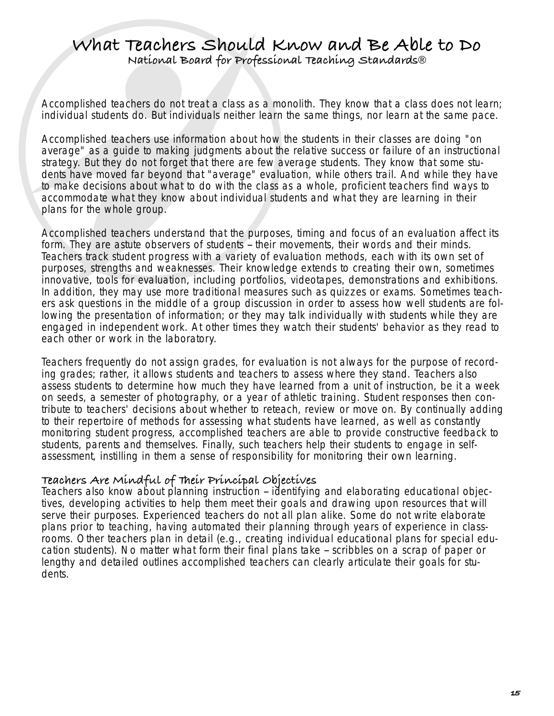**National Board for Professional Teaching Standards**®

Accomplished teachers do not treat a class as a monolith. They know that a class does not learn; individual students do. But individuals neither learn the same things, nor learn at the same pace.

Accomplished teachers use information about how the students in their classes are doing "on average" as a guide to making judgments about the relative success or failure of an instructional strategy. But they do not forget that there are few average students. They know that some students have moved far beyond that "average" evaluation, while others trail. And while they have to make decisions about what to do with the class as a whole, proficient teachers find ways to accommodate what they know about individual students and what they are learning in their plans for the whole group.

Accomplished teachers understand that the purposes, timing and focus of an evaluation affect its form. They are astute observers of students -- their movements, their words and their minds. Teachers track student progress with a variety of evaluation methods, each with its own set of purposes, strengths and weaknesses. Their knowledge extends to creating their own, sometimes innovative, tools for evaluation, including portfolios, videotapes, demonstrations and exhibitions. In addition, they may use more traditional measures such as quizzes or exams. Sometimes teachers ask questions in the middle of a group discussion in order to assess how well students are following the presentation of information; or they may talk individually with students while they are engaged in independent work. At other times they watch their students' behavior as they read to each other or work in the laboratory.

Teachers frequently do not assign grades, for evaluation is not always for the purpose of recording grades; rather, it allows students and teachers to assess where they stand. Teachers also assess students to determine how much they have learned from a unit of instruction, be it a week on seeds, a semester of photography, or a year of athletic training. Student responses then contribute to teachers' decisions about whether to reteach, review or move on. By continually adding to their repertoire of methods for assessing what students have learned, as well as constantly monitoring student progress, accomplished teachers are able to provide constructive feedback to students, parents and themselves. Finally, such teachers help their students to engage in selfassessment, instilling in them a sense of responsibility for monitoring their own learning.

#### **Teachers Are Mindful of Their Principal Objectives**

Teachers also know about planning instruction - identifying and elaborating educational objectives, developing activities to help them meet their goals and drawing upon resources that will serve their purposes. Experienced teachers do not all plan alike. Some do not write elaborate plans prior to teaching, having automated their planning through years of experience in classrooms. Other teachers plan in detail (e.g., creating individual educational plans for special education students). No matter what form their final plans take -- scribbles on a scrap of paper or lengthy and detailed outlines accomplished teachers can clearly articulate their goals for students.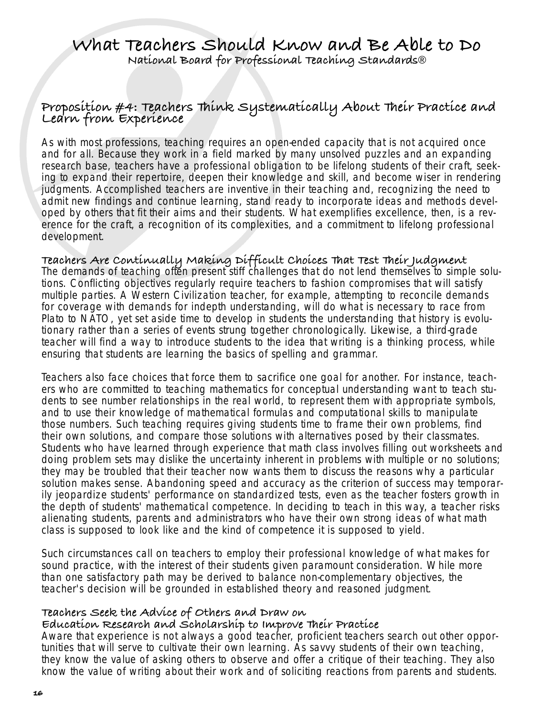**National Board for Professional Teaching Standards**®

# **Proposition #4: Teachers Think Systematically About Their Practice and Learn from Experience**

As with most professions, teaching requires an open-ended capacity that is not acquired once and for all. Because they work in a field marked by many unsolved puzzles and an expanding research base, teachers have a professional obligation to be lifelong students of their craft, seeking to expand their repertoire, deepen their knowledge and skill, and become wiser in rendering judgments. Accomplished teachers are inventive in their teaching and, recognizing the need to admit new findings and continue learning, stand ready to incorporate ideas and methods developed by others that fit their aims and their students. What exemplifies excellence, then, is a reverence for the craft, a recognition of its complexities, and a commitment to lifelong professional development.

**Teachers Are Continually Making Difficult Choices That Test Their Judgment**  The demands of teaching often present stiff challenges that do not lend themselves to simple solutions. Conflicting objectives regularly require teachers to fashion compromises that will satisfy multiple parties. A Western Civilization teacher, for example, attempting to reconcile demands for coverage with demands for indepth understanding, will do what is necessary to race from Plato to NATO, yet set aside time to develop in students the understanding that history is evolutionary rather than a series of events strung together chronologically. Likewise, a third-grade teacher will find a way to introduce students to the idea that writing is a thinking process, while ensuring that students are learning the basics of spelling and grammar.

Teachers also face choices that force them to sacrifice one goal for another. For instance, teachers who are committed to teaching mathematics for conceptual understanding want to teach students to see number relationships in the real world, to represent them with appropriate symbols, and to use their knowledge of mathematical formulas and computational skills to manipulate those numbers. Such teaching requires giving students time to frame their own problems, find their own solutions, and compare those solutions with alternatives posed by their classmates. Students who have learned through experience that math class involves filling out worksheets and doing problem sets may dislike the uncertainty inherent in problems with multiple or no solutions; they may be troubled that their teacher now wants them to discuss the reasons why a particular solution makes sense. Abandoning speed and accuracy as the criterion of success may temporarily jeopardize students' performance on standardized tests, even as the teacher fosters growth in the depth of students' mathematical competence. In deciding to teach in this way, a teacher risks alienating students, parents and administrators who have their own strong ideas of what math class is supposed to look like and the kind of competence it is supposed to yield.

Such circumstances call on teachers to employ their professional knowledge of what makes for sound practice, with the interest of their students given paramount consideration. While more than one satisfactory path may be derived to balance non-complementary objectives, the teacher's decision will be grounded in established theory and reasoned judgment.

#### **Teachers Seek the Advice of Others and Draw on**

#### **Education Research and Scholarship to Improve Their Practice**

Aware that experience is not always a good teacher, proficient teachers search out other opportunities that will serve to cultivate their own learning. As savvy students of their own teaching, they know the value of asking others to observe and offer a critique of their teaching. They also know the value of writing about their work and of soliciting reactions from parents and students.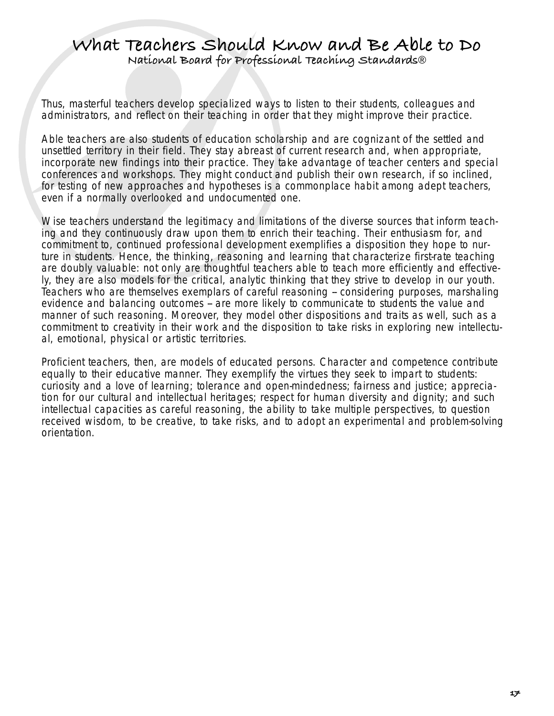**National Board for Professional Teaching Standards**®

Thus, masterful teachers develop specialized ways to listen to their students, colleagues and administrators, and reflect on their teaching in order that they might improve their practice.

Able teachers are also students of education scholarship and are cognizant of the settled and unsettled territory in their field. They stay abreast of current research and, when appropriate, incorporate new findings into their practice. They take advantage of teacher centers and special conferences and workshops. They might conduct and publish their own research, if so inclined, for testing of new approaches and hypotheses is a commonplace habit among adept teachers, even if a normally overlooked and undocumented one.

Wise teachers understand the legitimacy and limitations of the diverse sources that inform teaching and they continuously draw upon them to enrich their teaching. Their enthusiasm for, and commitment to, continued professional development exemplifies a disposition they hope to nurture in students. Hence, the thinking, reasoning and learning that characterize first-rate teaching are doubly valuable: not only are thoughtful teachers able to teach more efficiently and effectively, they are also models for the critical, analytic thinking that they strive to develop in our youth. Teachers who are themselves exemplars of careful reasoning -- considering purposes, marshaling evidence and balancing outcomes -- are more likely to communicate to students the value and manner of such reasoning. Moreover, they model other dispositions and traits as well, such as a commitment to creativity in their work and the disposition to take risks in exploring new intellectual, emotional, physical or artistic territories.

Proficient teachers, then, are models of educated persons. Character and competence contribute equally to their educative manner. They exemplify the virtues they seek to impart to students: curiosity and a love of learning; tolerance and open-mindedness; fairness and justice; appreciation for our cultural and intellectual heritages; respect for human diversity and dignity; and such intellectual capacities as careful reasoning, the ability to take multiple perspectives, to question received wisdom, to be creative, to take risks, and to adopt an experimental and problem-solving orientation.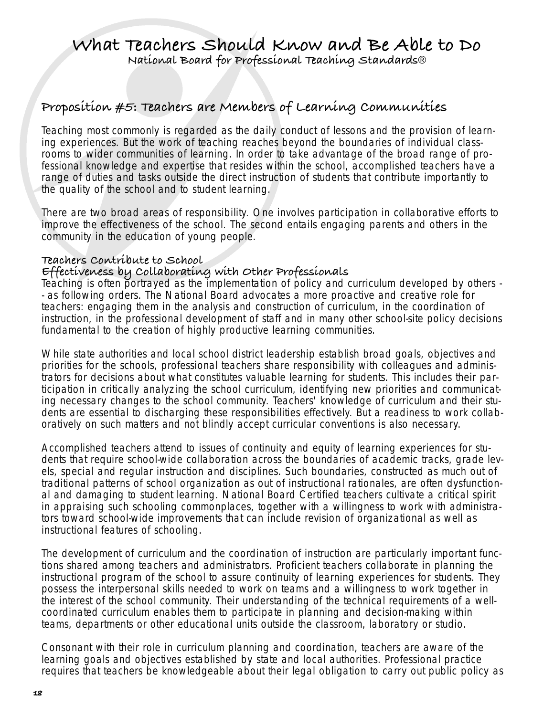**National Board for Professional Teaching Standards**®

### **Proposition #5: Teachers are Members of Learning Communities**

Teaching most commonly is regarded as the daily conduct of lessons and the provision of learning experiences. But the work of teaching reaches beyond the boundaries of individual classrooms to wider communities of learning. In order to take advantage of the broad range of professional knowledge and expertise that resides within the school, accomplished teachers have a range of duties and tasks outside the direct instruction of students that contribute importantly to the quality of the school and to student learning.

There are two broad areas of responsibility. One involves participation in collaborative efforts to improve the effectiveness of the school. The second entails engaging parents and others in the community in the education of young people.

#### **Teachers Contribute to School**

#### **Effectiveness by Collaborating with Other Professionals**

Teaching is often portrayed as the implementation of policy and curriculum developed by others - - as following orders. The National Board advocates a more proactive and creative role for teachers: engaging them in the analysis and construction of curriculum, in the coordination of instruction, in the professional development of staff and in many other school-site policy decisions fundamental to the creation of highly productive learning communities.

While state authorities and local school district leadership establish broad goals, objectives and priorities for the schools, professional teachers share responsibility with colleagues and administrators for decisions about what constitutes valuable learning for students. This includes their participation in critically analyzing the school curriculum, identifying new priorities and communicating necessary changes to the school community. Teachers' knowledge of curriculum and their students are essential to discharging these responsibilities effectively. But a readiness to work collaboratively on such matters and not blindly accept curricular conventions is also necessary.

Accomplished teachers attend to issues of continuity and equity of learning experiences for students that require school-wide collaboration across the boundaries of academic tracks, grade levels, special and regular instruction and disciplines. Such boundaries, constructed as much out of traditional patterns of school organization as out of instructional rationales, are often dysfunctional and damaging to student learning. National Board Certified teachers cultivate a critical spirit in appraising such schooling commonplaces, together with a willingness to work with administrators toward school-wide improvements that can include revision of organizational as well as instructional features of schooling.

The development of curriculum and the coordination of instruction are particularly important functions shared among teachers and administrators. Proficient teachers collaborate in planning the instructional program of the school to assure continuity of learning experiences for students. They possess the interpersonal skills needed to work on teams and a willingness to work together in the interest of the school community. Their understanding of the technical requirements of a wellcoordinated curriculum enables them to participate in planning and decision-making within teams, departments or other educational units outside the classroom, laboratory or studio.

Consonant with their role in curriculum planning and coordination, teachers are aware of the learning goals and objectives established by state and local authorities. Professional practice requires that teachers be knowledgeable about their legal obligation to carry out public policy as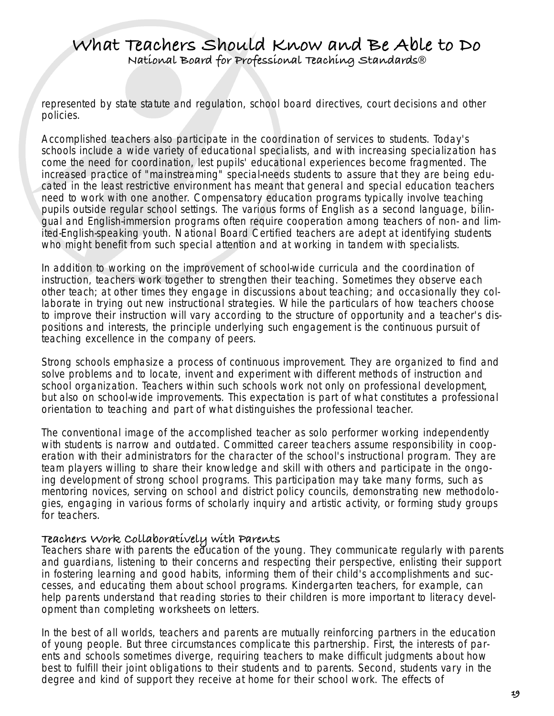**National Board for Professional Teaching Standards**®

represented by state statute and regulation, school board directives, court decisions and other policies.

Accomplished teachers also participate in the coordination of services to students. Today's schools include a wide variety of educational specialists, and with increasing specialization has come the need for coordination, lest pupils' educational experiences become fragmented. The increased practice of "mainstreaming" special-needs students to assure that they are being educated in the least restrictive environment has meant that general and special education teachers need to work with one another. Compensatory education programs typically involve teaching pupils outside regular school settings. The various forms of English as a second language, bilingual and English-immersion programs often require cooperation among teachers of non- and limited-English-speaking youth. National Board Certified teachers are adept at identifying students who might benefit from such special attention and at working in tandem with specialists.

In addition to working on the improvement of school-wide curricula and the coordination of instruction, teachers work together to strengthen their teaching. Sometimes they observe each other teach; at other times they engage in discussions about teaching; and occasionally they collaborate in trying out new instructional strategies. While the particulars of how teachers choose to improve their instruction will vary according to the structure of opportunity and a teacher's dispositions and interests, the principle underlying such engagement is the continuous pursuit of teaching excellence in the company of peers.

Strong schools emphasize a process of continuous improvement. They are organized to find and solve problems and to locate, invent and experiment with different methods of instruction and school organization. Teachers within such schools work not only on professional development, but also on school-wide improvements. This expectation is part of what constitutes a professional orientation to teaching and part of what distinguishes the professional teacher.

The conventional image of the accomplished teacher as solo performer working independently with students is narrow and outdated. Committed career teachers assume responsibility in cooperation with their administrators for the character of the school's instructional program. They are team players willing to share their knowledge and skill with others and participate in the ongoing development of strong school programs. This participation may take many forms, such as mentoring novices, serving on school and district policy councils, demonstrating new methodologies, engaging in various forms of scholarly inquiry and artistic activity, or forming study groups for teachers.

#### **Teachers Work Collaboratively with Parents**

Teachers share with parents the education of the young. They communicate regularly with parents and guardians, listening to their concerns and respecting their perspective, enlisting their support in fostering learning and good habits, informing them of their child's accomplishments and successes, and educating them about school programs. Kindergarten teachers, for example, can help parents understand that reading stories to their children is more important to literacy development than completing worksheets on letters.

In the best of all worlds, teachers and parents are mutually reinforcing partners in the education of young people. But three circumstances complicate this partnership. First, the interests of parents and schools sometimes diverge, requiring teachers to make difficult judgments about how best to fulfill their joint obligations to their students and to parents. Second, students vary in the degree and kind of support they receive at home for their school work. The effects of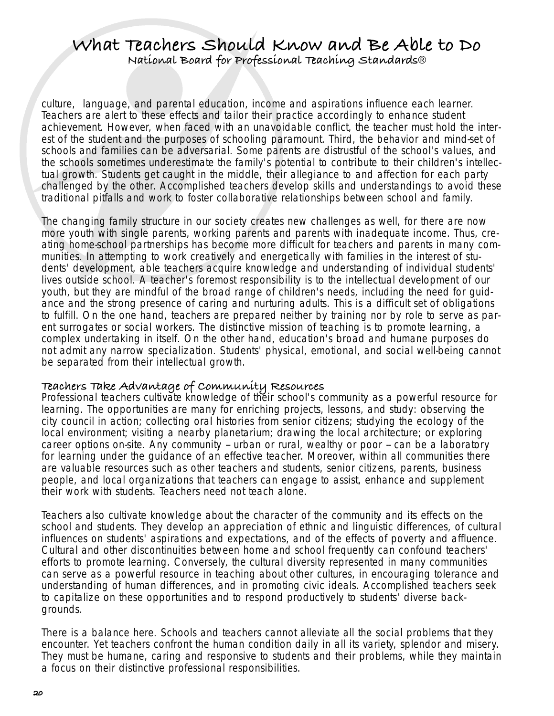**National Board for Professional Teaching Standards**®

culture, language, and parental education, income and aspirations influence each learner. Teachers are alert to these effects and tailor their practice accordingly to enhance student achievement. However, when faced with an unavoidable conflict, the teacher must hold the interest of the student and the purposes of schooling paramount. Third, the behavior and mind-set of schools and families can be adversarial. Some parents are distrustful of the school's values, and the schools sometimes underestimate the family's potential to contribute to their children's intellectual growth. Students get caught in the middle, their allegiance to and affection for each party challenged by the other. Accomplished teachers develop skills and understandings to avoid these traditional pitfalls and work to foster collaborative relationships between school and family.

The changing family structure in our society creates new challenges as well, for there are now more youth with single parents, working parents and parents with inadequate income. Thus, creating home-school partnerships has become more difficult for teachers and parents in many communities. In attempting to work creatively and energetically with families in the interest of students' development, able teachers acquire knowledge and understanding of individual students' lives outside school. A teacher's foremost responsibility is to the intellectual development of our youth, but they are mindful of the broad range of children's needs, including the need for guidance and the strong presence of caring and nurturing adults. This is a difficult set of obligations to fulfill. On the one hand, teachers are prepared neither by training nor by role to serve as parent surrogates or social workers. The distinctive mission of teaching is to promote learning, a complex undertaking in itself. On the other hand, education's broad and humane purposes do not admit any narrow specialization. Students' physical, emotional, and social well-being cannot be separated from their intellectual growth.

#### **Teachers Take Advantage of Community Resources**

Professional teachers cultivate knowledge of their school's community as a powerful resource for learning. The opportunities are many for enriching projects, lessons, and study: observing the city council in action; collecting oral histories from senior citizens; studying the ecology of the local environment; visiting a nearby planetarium; drawing the local architecture; or exploring career options on-site. Any community -- urban or rural, wealthy or poor -- can be a laboratory for learning under the guidance of an effective teacher. Moreover, within all communities there are valuable resources such as other teachers and students, senior citizens, parents, business people, and local organizations that teachers can engage to assist, enhance and supplement their work with students. Teachers need not teach alone.

Teachers also cultivate knowledge about the character of the community and its effects on the school and students. They develop an appreciation of ethnic and linguistic differences, of cultural influences on students' aspirations and expectations, and of the effects of poverty and affluence. Cultural and other discontinuities between home and school frequently can confound teachers' efforts to promote learning. Conversely, the cultural diversity represented in many communities can serve as a powerful resource in teaching about other cultures, in encouraging tolerance and understanding of human differences, and in promoting civic ideals. Accomplished teachers seek to capitalize on these opportunities and to respond productively to students' diverse backgrounds.

There is a balance here. Schools and teachers cannot alleviate all the social problems that they encounter. Yet teachers confront the human condition daily in all its variety, splendor and misery. They must be humane, caring and responsive to students and their problems, while they maintain a focus on their distinctive professional responsibilities.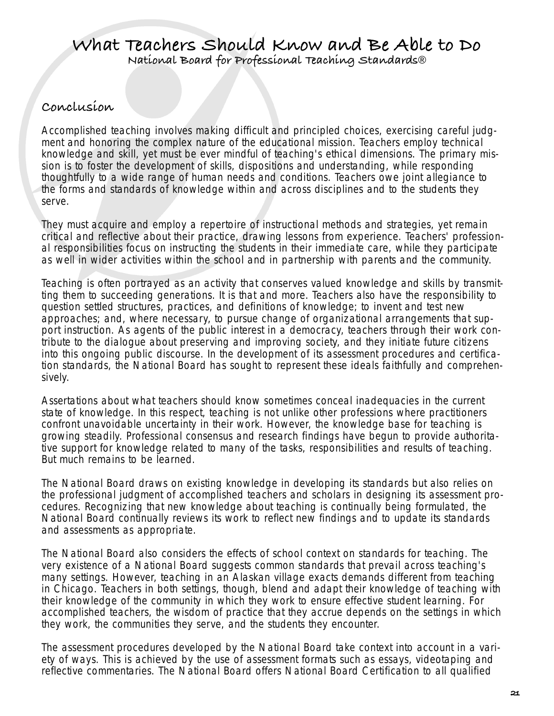**National Board for Professional Teaching Standards**®

#### **Conclusion**

Accomplished teaching involves making difficult and principled choices, exercising careful judgment and honoring the complex nature of the educational mission. Teachers employ technical knowledge and skill, yet must be ever mindful of teaching's ethical dimensions. The primary mission is to foster the development of skills, dispositions and understanding, while responding thoughtfully to a wide range of human needs and conditions. Teachers owe joint allegiance to the forms and standards of knowledge within and across disciplines and to the students they serve.

They must acquire and employ a repertoire of instructional methods and strategies, yet remain critical and reflective about their practice, drawing lessons from experience. Teachers' professional responsibilities focus on instructing the students in their immediate care, while they participate as well in wider activities within the school and in partnership with parents and the community.

Teaching is often portrayed as an activity that conserves valued knowledge and skills by transmitting them to succeeding generations. It is that and more. Teachers also have the responsibility to question settled structures, practices, and definitions of knowledge; to invent and test new approaches; and, where necessary, to pursue change of organizational arrangements that support instruction. As agents of the public interest in a democracy, teachers through their work contribute to the dialogue about preserving and improving society, and they initiate future citizens into this ongoing public discourse. In the development of its assessment procedures and certification standards, the National Board has sought to represent these ideals faithfully and comprehensively.

Assertations about what teachers should know sometimes conceal inadequacies in the current state of knowledge. In this respect, teaching is not unlike other professions where practitioners confront unavoidable uncertainty in their work. However, the knowledge base for teaching is growing steadily. Professional consensus and research findings have begun to provide authoritative support for knowledge related to many of the tasks, responsibilities and results of teaching. But much remains to be learned.

The National Board draws on existing knowledge in developing its standards but also relies on the professional judgment of accomplished teachers and scholars in designing its assessment procedures. Recognizing that new knowledge about teaching is continually being formulated, the National Board continually reviews its work to reflect new findings and to update its standards and assessments as appropriate.

The National Board also considers the effects of school context on standards for teaching. The very existence of a National Board suggests common standards that prevail across teaching's many settings. However, teaching in an Alaskan village exacts demands different from teaching in Chicago. Teachers in both settings, though, blend and adapt their knowledge of teaching with their knowledge of the community in which they work to ensure effective student learning. For accomplished teachers, the wisdom of practice that they accrue depends on the settings in which they work, the communities they serve, and the students they encounter.

The assessment procedures developed by the National Board take context into account in a variety of ways. This is achieved by the use of assessment formats such as essays, videotaping and reflective commentaries. The National Board offers National Board Certification to all qualified